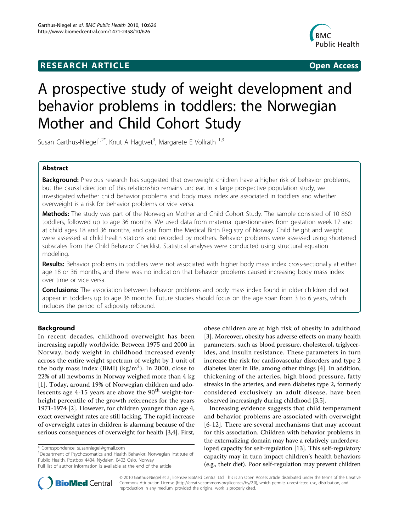# **RESEARCH ARTICLE Example 2018 CONSUMING ACCESS**



# A prospective study of weight development and behavior problems in toddlers: the Norwegian Mother and Child Cohort Study

Susan Garthus-Niegel<sup>1,2\*</sup>, Knut A Hagtvet<sup>3</sup>, Margarete E Vollrath <sup>1,3</sup>

# Abstract

Background: Previous research has suggested that overweight children have a higher risk of behavior problems, but the causal direction of this relationship remains unclear. In a large prospective population study, we investigated whether child behavior problems and body mass index are associated in toddlers and whether overweight is a risk for behavior problems or vice versa.

Methods: The study was part of the Norwegian Mother and Child Cohort Study. The sample consisted of 10 860 toddlers, followed up to age 36 months. We used data from maternal questionnaires from gestation week 17 and at child ages 18 and 36 months, and data from the Medical Birth Registry of Norway. Child height and weight were assessed at child health stations and recorded by mothers. Behavior problems were assessed using shortened subscales from the Child Behavior Checklist. Statistical analyses were conducted using structural equation modeling.

Results: Behavior problems in toddlers were not associated with higher body mass index cross-sectionally at either age 18 or 36 months, and there was no indication that behavior problems caused increasing body mass index over time or vice versa.

**Conclusions:** The association between behavior problems and body mass index found in older children did not appear in toddlers up to age 36 months. Future studies should focus on the age span from 3 to 6 years, which includes the period of adiposity rebound.

# Background

In recent decades, childhood overweight has been increasing rapidly worldwide. Between 1975 and 2000 in Norway, body weight in childhood increased evenly across the entire weight spectrum of weight by 1 unit of the body mass index (BMI) (kg/m<sup>2</sup>). In 2000, close to 22% of all newborns in Norway weighed more than 4 kg [[1\]](#page-8-0). Today, around 19% of Norwegian children and adolescents age 4-15 years are above the  $90<sup>th</sup>$  weight-forheight percentile of the growth references for the years 1971-1974 [\[2](#page-8-0)]. However, for children younger than age 4, exact overweight rates are still lacking. The rapid increase of overweight rates in children is alarming because of the serious consequences of overweight for health [\[3,4](#page-8-0)]. First,

<sup>1</sup>Department of Psychosomatics and Health Behavior, Norwegian Institute of Public Health, Postbox 4404, Nydalen, 0403 Oslo, Norway

obese children are at high risk of obesity in adulthood [[3\]](#page-8-0). Moreover, obesity has adverse effects on many health parameters, such as blood pressure, cholesterol, triglycerides, and insulin resistance. These parameters in turn increase the risk for cardiovascular disorders and type 2 diabetes later in life, among other things [[4\]](#page-8-0). In addition, thickening of the arteries, high blood pressure, fatty streaks in the arteries, and even diabetes type 2, formerly considered exclusively an adult disease, have been observed increasingly during childhood [\[3,5](#page-8-0)].

Increasing evidence suggests that child temperament and behavior problems are associated with overweight [[6](#page-8-0)-[12\]](#page-8-0). There are several mechanisms that may account for this association. Children with behavior problems in the externalizing domain may have a relatively underdeveloped capacity for self-regulation [[13](#page-8-0)]. This self-regulatory capacity may in turn impact children's health behaviors (e.g., their diet). Poor self-regulation may prevent children



© 2010 Garthus-Niegel et al; licensee BioMed Central Ltd. This is an Open Access article distributed under the terms of the Creative Commons Attribution License [\(http://creativecommons.org/licenses/by/2.0](http://creativecommons.org/licenses/by/2.0)), which permits unrestricted use, distribution, and reproduction in any medium, provided the original work is properly cited.

<sup>\*</sup> Correspondence: [susanniegel@gmail.com](mailto:susanniegel@gmail.com)

Full list of author information is available at the end of the article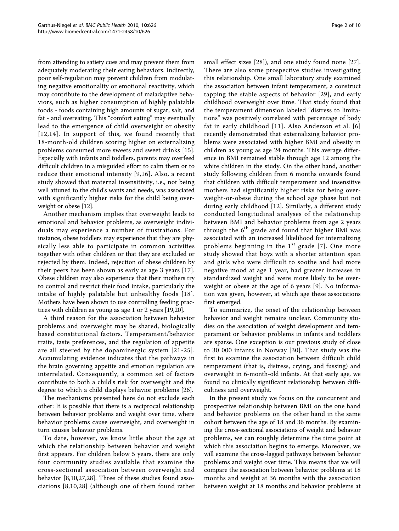from attending to satiety cues and may prevent them from adequately moderating their eating behaviors. Indirectly, poor self-regulation may prevent children from modulating negative emotionality or emotional reactivity, which may contribute to the development of maladaptive behaviors, such as higher consumption of highly palatable foods - foods containing high amounts of sugar, salt, and fat - and overeating. This "comfort eating" may eventually lead to the emergence of child overweight or obesity [[12,14\]](#page-8-0). In support of this, we found recently that 18-month-old children scoring higher on externalizing problems consumed more sweets and sweet drinks [\[15](#page-8-0)]. Especially with infants and toddlers, parents may overfeed difficult children in a misguided effort to calm them or to reduce their emotional intensity [[9,16\]](#page-8-0). Also, a recent study showed that maternal insensitivity, i.e., not being well attuned to the child's wants and needs, was associated with significantly higher risks for the child being overweight or obese [\[12\]](#page-8-0).

Another mechanism implies that overweight leads to emotional and behavior problems, as overweight individuals may experience a number of frustrations. For instance, obese toddlers may experience that they are physically less able to participate in common activities together with other children or that they are excluded or rejected by them. Indeed, rejection of obese children by their peers has been shown as early as age 3 years [[17](#page-8-0)]. Obese children may also experience that their mothers try to control and restrict their food intake, particularly the intake of highly palatable but unhealthy foods [[18\]](#page-8-0). Mothers have been shown to use controlling feeding practices with children as young as age 1 or 2 years [\[19,20](#page-8-0)].

A third reason for the association between behavior problems and overweight may be shared, biologically based constitutional factors. Temperament/behavior traits, taste preferences, and the regulation of appetite are all steered by the dopaminergic system [[21](#page-8-0)-[25\]](#page-8-0). Accumulating evidence indicates that the pathways in the brain governing appetite and emotion regulation are interrelated. Consequently, a common set of factors contribute to both a child's risk for overweight and the degree to which a child displays behavior problems [[26\]](#page-8-0).

The mechanisms presented here do not exclude each other: It is possible that there is a reciprocal relationship between behavior problems and weight over time, where behavior problems cause overweight, and overweight in turn causes behavior problems.

To date, however, we know little about the age at which the relationship between behavior and weight first appears. For children below 5 years, there are only four community studies available that examine the cross-sectional association between overweight and behavior [\[8,10,27,28](#page-8-0)]. Three of these studies found associations [[8](#page-8-0),[10,28\]](#page-8-0) (although one of them found rather

small effect sizes [\[28](#page-8-0)]), and one study found none [[27](#page-8-0)]. There are also some prospective studies investigating this relationship. One small laboratory study examined the association between infant temperament, a construct tapping the stable aspects of behavior [[29\]](#page-8-0), and early childhood overweight over time. That study found that the temperament dimension labeled "distress to limitations" was positively correlated with percentage of body fat in early childhood [[11\]](#page-8-0). Also Anderson et al. [[6](#page-8-0)] recently demonstrated that externalizing behavior problems were associated with higher BMI and obesity in children as young as age 24 months. This average difference in BMI remained stable through age 12 among the white children in the study. On the other hand, another study following children from 6 months onwards found that children with difficult temperament and insensitive mothers had significantly higher risks for being overweight-or-obese during the school age phase but not during early childhood [[12\]](#page-8-0). Similarly, a different study conducted longitudinal analyses of the relationship between BMI and behavior problems from age 2 years through the  $6<sup>th</sup>$  grade and found that higher BMI was associated with an increased likelihood for internalizing problems beginning in the  $1<sup>st</sup>$  grade [[7\]](#page-8-0). One more study showed that boys with a shorter attention span and girls who were difficult to soothe and had more negative mood at age 1 year, had greater increases in standardized weight and were more likely to be overweight or obese at the age of 6 years [[9\]](#page-8-0). No information was given, however, at which age these associations first emerged.

To summarize, the onset of the relationship between behavior and weight remains unclear. Community studies on the association of weight development and temperament or behavior problems in infants and toddlers are sparse. One exception is our previous study of close to 30 000 infants in Norway [\[30\]](#page-8-0). That study was the first to examine the association between difficult child temperament (that is, distress, crying, and fussing) and overweight in 6-month-old infants. At that early age, we found no clinically significant relationship between difficultness and overweight.

In the present study we focus on the concurrent and prospective relationship between BMI on the one hand and behavior problems on the other hand in the same cohort between the age of 18 and 36 months. By examining the cross-sectional associations of weight and behavior problems, we can roughly determine the time point at which this association begins to emerge. Moreover, we will examine the cross-lagged pathways between behavior problems and weight over time. This means that we will compare the association between behavior problems at 18 months and weight at 36 months with the association between weight at 18 months and behavior problems at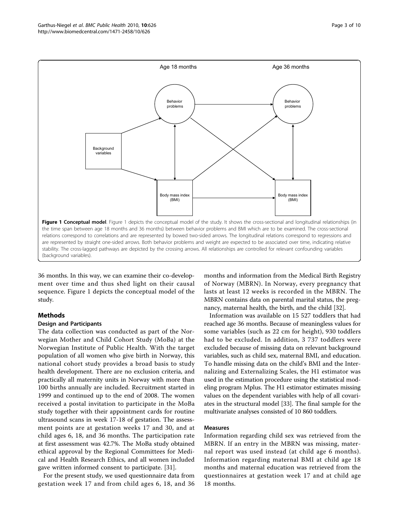<span id="page-2-0"></span>

36 months. In this way, we can examine their co-development over time and thus shed light on their causal sequence. Figure 1 depicts the conceptual model of the study.

# Methods

# Design and Participants

The data collection was conducted as part of the Norwegian Mother and Child Cohort Study (MoBa) at the Norwegian Institute of Public Health. With the target population of all women who give birth in Norway, this national cohort study provides a broad basis to study health development. There are no exclusion criteria, and practically all maternity units in Norway with more than 100 births annually are included. Recruitment started in 1999 and continued up to the end of 2008. The women received a postal invitation to participate in the MoBa study together with their appointment cards for routine ultrasound scans in week 17-18 of gestation. The assessment points are at gestation weeks 17 and 30, and at child ages 6, 18, and 36 months. The participation rate at first assessment was 42.7%. The MoBa study obtained ethical approval by the Regional Committees for Medical and Health Research Ethics, and all women included gave written informed consent to participate. [\[31](#page-8-0)].

For the present study, we used questionnaire data from gestation week 17 and from child ages 6, 18, and 36

months and information from the Medical Birth Registry of Norway (MBRN). In Norway, every pregnancy that lasts at least 12 weeks is recorded in the MBRN. The MBRN contains data on parental marital status, the pregnancy, maternal health, the birth, and the child [\[32](#page-8-0)].

Information was available on 15 527 toddlers that had reached age 36 months. Because of meaningless values for some variables (such as 22 cm for height), 930 toddlers had to be excluded. In addition, 3 737 toddlers were excluded because of missing data on relevant background variables, such as child sex, maternal BMI, and education. To handle missing data on the child's BMI and the Internalizing and Externalizing Scales, the H1 estimator was used in the estimation procedure using the statistical modeling program Mplus. The H1 estimator estimates missing values on the dependent variables with help of all covariates in the structural model [[33\]](#page-8-0). The final sample for the multivariate analyses consisted of 10 860 toddlers.

# Measures

Information regarding child sex was retrieved from the MBRN. If an entry in the MBRN was missing, maternal report was used instead (at child age 6 months). Information regarding maternal BMI at child age 18 months and maternal education was retrieved from the questionnaires at gestation week 17 and at child age 18 months.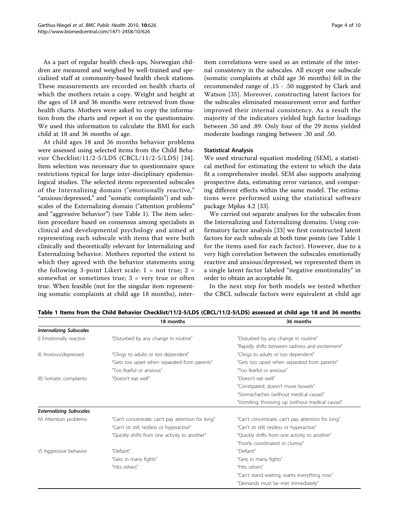<span id="page-3-0"></span>As a part of regular health check-ups, Norwegian children are measured and weighed by well-trained and specialized staff at community-based health check stations. These measurements are recorded on health charts of which the mothers retain a copy. Weight and height at the ages of 18 and 36 months were retrieved from those health charts. Mothers were asked to copy the information from the charts and report it on the questionnaire. We used this information to calculate the BMI for each child at 18 and 36 months of age.

At child ages 18 and 36 months behavior problems were assessed using selected items from the Child Behavior Checklist/11/2-5/LDS (CBCL/11/2-5/LDS) [[34\]](#page-8-0). Item selection was necessary due to questionnaire space restrictions typical for large inter-disciplinary epidemiological studies. The selected items represented subscales of the Internalizing domain ("emotionally reactive," "anxious/depressed," and "somatic complaints") and subscales of the Externalizing domain ("attention problems" and "aggressive behavior") (see Table 1). The item selection procedure based on consensus among specialists in clinical and developmental psychology and aimed at representing each subscale with items that were both clinically and theoretically relevant for Internalizing and Externalizing behavior. Mothers reported the extent to which they agreed with the behavior statements using the following 3-point Likert scale:  $1 = not true$ ;  $2 =$ somewhat or sometimes true;  $3$  = very true or often true. When feasible (not for the singular item representing somatic complaints at child age 18 months), interitem correlations were used as an estimate of the internal consistency in the subscales. All except one subscale (somatic complaints at child age 36 months) fell in the recommended range of .15 - .50 suggested by Clark and Watson [\[35](#page-8-0)]. Moreover, constructing latent factors for the subscales eliminated measurement error and further improved their internal consistency. As a result the majority of the indicators yielded high factor loadings between .50 and .89. Only four of the 29 items yielded moderate loadings ranging between .30 and .50.

#### Statistical Analysis

We used structural equation modeling (SEM), a statistical method for estimating the extent to which the data fit a comprehensive model. SEM also supports analyzing prospective data, estimating error variance, and comparing different effects within the same model. The estimations were performed using the statistical software package Mplus 4.2 [[33](#page-8-0)].

We carried out separate analyses for the subscales from the Internalizing and Externalizing domains. Using confirmatory factor analysis [\[33](#page-8-0)] we first constructed latent factors for each subscale at both time points (see Table 1 for the items used for each factor). However, due to a very high correlation between the subscales emotionally reactive and anxious/depressed, we represented them in a single latent factor labeled "negative emotionality" in order to obtain an acceptable fit.

In the next step for both models we tested whether the CBCL subscale factors were equivalent at child age

|                                | 18 months                                         | 36 months                                                                                                                                                                                                                                                                                                                                                                                                                   |  |  |  |
|--------------------------------|---------------------------------------------------|-----------------------------------------------------------------------------------------------------------------------------------------------------------------------------------------------------------------------------------------------------------------------------------------------------------------------------------------------------------------------------------------------------------------------------|--|--|--|
| <b>Internalizing Subscales</b> |                                                   |                                                                                                                                                                                                                                                                                                                                                                                                                             |  |  |  |
| I) Emotionally reactive        | "Disturbed by any change in routine"              | "Disturbed by any change in routine"                                                                                                                                                                                                                                                                                                                                                                                        |  |  |  |
|                                |                                                   | "Rapidly shifts between sadness and excitement"                                                                                                                                                                                                                                                                                                                                                                             |  |  |  |
| II) Anxious/depressed          | "Clings to adults or too dependent"               | "Clings to adults or too dependent"                                                                                                                                                                                                                                                                                                                                                                                         |  |  |  |
|                                | "Gets too upset when separated from parents"      | "Gets too upset when separated from parents"                                                                                                                                                                                                                                                                                                                                                                                |  |  |  |
|                                | "Too fearful or anxious"                          | "Too fearful or anxious"                                                                                                                                                                                                                                                                                                                                                                                                    |  |  |  |
| III) Somatic complaints        | "Doesn't eat well"                                | "Doesn't eat well"                                                                                                                                                                                                                                                                                                                                                                                                          |  |  |  |
|                                |                                                   | "Constipated; doesn't move bowels"<br>"Stomachaches (without medical cause)"<br>"Vomiting, throwing up (without medical cause)"<br>"Can't concentrate; can't pay attention for long"<br>"Can't sit still; restless or hyperactive"<br>"Quickly shifts from one activity to another"<br>"Poorly coordinated or clumsy"<br>"Defiant"<br>"Gets in many fights"<br>"Hits others"<br>"Can't stand waiting; wants everything now" |  |  |  |
|                                |                                                   |                                                                                                                                                                                                                                                                                                                                                                                                                             |  |  |  |
|                                |                                                   |                                                                                                                                                                                                                                                                                                                                                                                                                             |  |  |  |
| <b>Externalizing Subscales</b> |                                                   |                                                                                                                                                                                                                                                                                                                                                                                                                             |  |  |  |
| IV) Attention problems         | "Can't concentrate; can't pay attention for long" |                                                                                                                                                                                                                                                                                                                                                                                                                             |  |  |  |
|                                | "Can't sit still; restless or hyperactive"        |                                                                                                                                                                                                                                                                                                                                                                                                                             |  |  |  |
|                                | "Quickly shifts from one activity to another"     |                                                                                                                                                                                                                                                                                                                                                                                                                             |  |  |  |
|                                |                                                   |                                                                                                                                                                                                                                                                                                                                                                                                                             |  |  |  |
| V) Aggressive behavior         | "Defiant"                                         |                                                                                                                                                                                                                                                                                                                                                                                                                             |  |  |  |
|                                | "Gets in many fights"                             |                                                                                                                                                                                                                                                                                                                                                                                                                             |  |  |  |
|                                | "Hits others"                                     |                                                                                                                                                                                                                                                                                                                                                                                                                             |  |  |  |
|                                |                                                   |                                                                                                                                                                                                                                                                                                                                                                                                                             |  |  |  |
|                                |                                                   | "Demands must be met immediately"                                                                                                                                                                                                                                                                                                                                                                                           |  |  |  |

Table 1 Items from the Child Behavior Checklist/11/2-5/LDS (CBCL/11/2-5/LDS) assessed at child age 18 and 36 months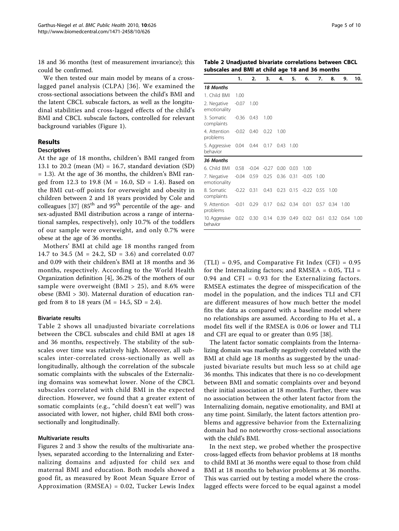18 and 36 months (test of measurement invariance); this could be confirmed.

We then tested our main model by means of a crosslagged panel analysis (CLPA) [[36](#page-8-0)]. We examined the cross-sectional associations between the child's BMI and the latent CBCL subscale factors, as well as the longitudinal stabilities and cross-lagged effects of the child's BMI and CBCL subscale factors, controlled for relevant background variables (Figure [1](#page-2-0)).

# Results

#### **Descriptives**

At the age of 18 months, children's BMI ranged from 13.1 to 20.2 (mean  $(M) = 16.7$ , standard deviation  $(SD)$ = 1.3). At the age of 36 months, the children's BMI ranged from 12.3 to 19.8 ( $M = 16.0$ ,  $SD = 1.4$ ). Based on the BMI cut-off points for overweight and obesity in children between 2 and 18 years provided by Cole and colleagues  $[37]$  $[37]$  (85<sup>th</sup> and 95<sup>th</sup> percentile of the age- and sex-adjusted BMI distribution across a range of international samples, respectively), only 10.7% of the toddlers of our sample were overweight, and only 0.7% were obese at the age of 36 months.

Mothers' BMI at child age 18 months ranged from 14.7 to 34.5 ( $M = 24.2$ ,  $SD = 3.6$ ) and correlated 0.07 and 0.09 with their children's BMI at 18 months and 36 months, respectively. According to the World Health Organization definition [[4\]](#page-8-0), 36.2% of the mothers of our sample were overweight (BMI  $>$  25), and 8.6% were obese (BMI > 30). Maternal duration of education ranged from 8 to 18 years ( $M = 14.5$ , SD = 2.4).

#### Bivariate results

Table 2 shows all unadjusted bivariate correlations between the CBCL subscales and child BMI at ages 18 and 36 months, respectively. The stability of the subscales over time was relatively high. Moreover, all subscales inter-correlated cross-sectionally as well as longitudinally, although the correlation of the subscale somatic complaints with the subscales of the Externalizing domains was somewhat lower. None of the CBCL subscales correlated with child BMI in the expected direction. However, we found that a greater extent of somatic complaints (e.g., "child doesn't eat well") was associated with lower, not higher, child BMI both crosssectionally and longitudinally.

#### Multivariate results

Figures [2](#page-5-0) and [3](#page-6-0) show the results of the multivariate analyses, separated according to the Internalizing and Externalizing domains and adjusted for child sex and maternal BMI and education. Both models showed a good fit, as measured by Root Mean Square Error of Approximation (RMSEA) = 0.02, Tucker Lewis Index

Table 2 Unadjusted bivariate correlations between CBCL subscales and BMI at child age 18 and 36 months

|                                          | 1.             | 2.                       | 3.   | 4.             | 5.          | 6.                           | 7.   | 8.    | 9.                | 10.  |
|------------------------------------------|----------------|--------------------------|------|----------------|-------------|------------------------------|------|-------|-------------------|------|
| 18 Months                                |                |                          |      |                |             |                              |      |       |                   |      |
| 1. Child BMI                             | 1.00           |                          |      |                |             |                              |      |       |                   |      |
| 2. Negative<br>emotionality              | $-0.07$ 1.00   |                          |      |                |             |                              |      |       |                   |      |
| 3. Somatic<br>complaints                 | $-0.36$        | 0.43                     | 1.00 |                |             |                              |      |       |                   |      |
| 4. Attention -0.02 0.40<br>problems      |                |                          | 0.22 | 1.00           |             |                              |      |       |                   |      |
| 5. Aggressive 0.04 0.44 0.17<br>behavior |                |                          |      | 0.43           | 1.00        |                              |      |       |                   |      |
| 36 Months                                |                |                          |      |                |             |                              |      |       |                   |      |
| 6. Child BMI 0.58                        |                | $-0.04 - 0.27$           |      | 0.00           | 0.03        | 1.00                         |      |       |                   |      |
| 7. Negative<br>emotionality              |                | $-0.04$ 0.59             |      | 0.25 0.36 0.31 |             | $-0.05$                      | 1.00 |       |                   |      |
| 8. Somatic<br>complaints                 | $-0.22$ $0.31$ |                          | 0.43 |                |             | $0.23$ $0.15$ $-0.22$ $0.55$ |      | -1.00 |                   |      |
| 9. Attention<br>problems                 | $-0.01$        | 0.29                     | 0.17 |                | $0.62$ 0.34 | 0.01                         | 0.57 | 0.34  | 1.00              |      |
| 10. Aggressive 0.02<br>behavior          |                | 0.30 0.14 0.39 0.49 0.02 |      |                |             |                              | 0.61 |       | $0.32 \quad 0.64$ | 1.00 |

 $(TLI) = 0.95$ , and Comparative Fit Index (CFI) = 0.95 for the Internalizing factors; and RMSEA =  $0.05$ , TLI = 0.94 and CFI = 0.93 for the Externalizing factors. RMSEA estimates the degree of misspecification of the model in the population, and the indices TLI and CFI are different measures of how much better the model fits the data as compared with a baseline model where no relationships are assumed. According to Hu et al., a model fits well if the RMSEA is 0.06 or lower and TLI and CFI are equal to or greater than 0.95 [\[38](#page-8-0)].

The latent factor somatic complaints from the Internalizing domain was markedly negatively correlated with the BMI at child age 18 months as suggested by the unadjusted bivariate results but much less so at child age 36 months. This indicates that there is no co-development between BMI and somatic complaints over and beyond their initial association at 18 months. Further, there was no association between the other latent factor from the Internalizing domain, negative emotionality, and BMI at any time point. Similarly, the latent factors attention problems and aggressive behavior from the Externalizing domain had no noteworthy cross-sectional associations with the child's BMI.

In the next step, we probed whether the prospective cross-lagged effects from behavior problems at 18 months to child BMI at 36 months were equal to those from child BMI at 18 months to behavior problems at 36 months. This was carried out by testing a model where the crosslagged effects were forced to be equal against a model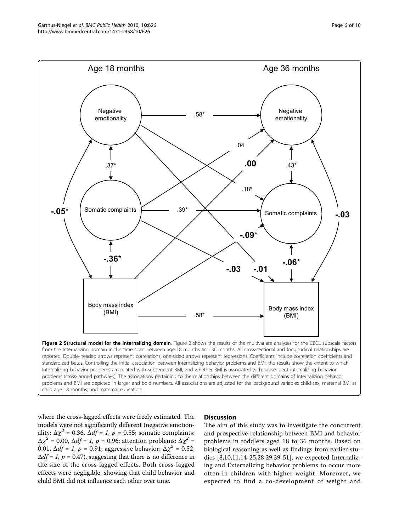<span id="page-5-0"></span>

child age 18 months, and maternal education.

where the cross-lagged effects were freely estimated. The models were not significantly different (negative emotionality:  $\Delta \chi^2$  = 0.36,  $\Delta df = 1$ ,  $p = 0.55$ ; somatic complaints:  $\Delta \chi^2$  = 0.00,  $\Delta df = 1$ ,  $p = 0.96$ ; attention problems:  $\Delta \chi^2$  = 0.01,  $\Delta df = 1$ ,  $p = 0.91$ ; aggressive behavior:  $\Delta \chi^2 = 0.52$ ,  $\Delta df = 1$ ,  $p = 0.47$ ), suggesting that there is no difference in the size of the cross-lagged effects. Both cross-lagged effects were negligible, showing that child behavior and child BMI did not influence each other over time.

#### **Discussion**

The aim of this study was to investigate the concurrent and prospective relationship between BMI and behavior problems in toddlers aged 18 to 36 months. Based on biological reasoning as well as findings from earlier studies [\[8](#page-8-0),[10,11,14-25,28](#page-8-0),[29](#page-8-0),[39-](#page-8-0)[51](#page-9-0)], we expected Internalizing and Externalizing behavior problems to occur more often in children with higher weight. Moreover, we expected to find a co-development of weight and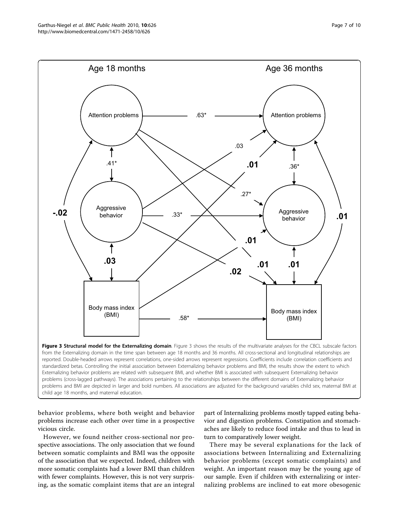<span id="page-6-0"></span>

behavior problems, where both weight and behavior problems increase each other over time in a prospective vicious circle.

However, we found neither cross-sectional nor prospective associations. The only association that we found between somatic complaints and BMI was the opposite of the association that we expected. Indeed, children with more somatic complaints had a lower BMI than children with fewer complaints. However, this is not very surprising, as the somatic complaint items that are an integral

part of Internalizing problems mostly tapped eating behavior and digestion problems. Constipation and stomachaches are likely to reduce food intake and thus to lead in turn to comparatively lower weight.

There may be several explanations for the lack of associations between Internalizing and Externalizing behavior problems (except somatic complaints) and weight. An important reason may be the young age of our sample. Even if children with externalizing or internalizing problems are inclined to eat more obesogenic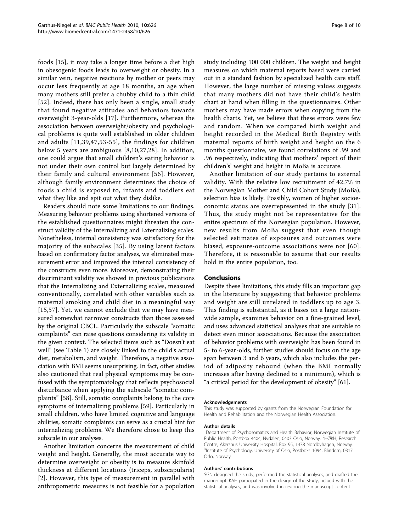foods [[15](#page-8-0)], it may take a longer time before a diet high in obesogenic foods leads to overweight or obesity. In a similar vein, negative reactions by mother or peers may occur less frequently at age 18 months, an age when many mothers still prefer a chubby child to a thin child [[52](#page-9-0)]. Indeed, there has only been a single, small study that found negative attitudes and behaviors towards overweight 3-year-olds [[17](#page-8-0)]. Furthermore, whereas the association between overweight/obesity and psychological problems is quite well established in older children and adults [[11](#page-8-0),[39](#page-8-0)[,47,53-55](#page-9-0)], the findings for children below 5 years are ambiguous [[8,10](#page-8-0),[27,28](#page-8-0)]. In addition, one could argue that small children's eating behavior is not under their own control but largely determined by their family and cultural environment [[56](#page-9-0)]. However, although family environment determines the choice of foods a child is exposed to, infants and toddlers eat what they like and spit out what they dislike.

Readers should note some limitations to our findings. Measuring behavior problems using shortened versions of the established questionnaires might threaten the construct validity of the Internalizing and Externalizing scales. Nonetheless, internal consistency was satisfactory for the majority of the subscales [[35](#page-8-0)]. By using latent factors based on confirmatory factor analyses, we eliminated measurement error and improved the internal consistency of the constructs even more. Moreover, demonstrating their discriminant validity we showed in previous publications that the Internalizing and Externalizing scales, measured conventionally, correlated with other variables such as maternal smoking and child diet in a meaningful way [[15](#page-8-0)[,57\]](#page-9-0). Yet, we cannot exclude that we may have measured somewhat narrower constructs than those assessed by the original CBCL. Particularly the subscale "somatic complaints" can raise questions considering its validity in the given context. The selected items such as "Doesn't eat well" (see Table [1\)](#page-3-0) are closely linked to the child's actual diet, metabolism, and weight. Therefore, a negative association with BMI seems unsurprising. In fact, other studies also cautioned that real physical symptoms may be confused with the symptomatology that reflects psychosocial disturbance when applying the subscale "somatic complaints" [[58\]](#page-9-0). Still, somatic complaints belong to the core symptoms of internalizing problems [\[59](#page-9-0)]. Particularly in small children, who have limited cognitive and language abilities, somatic complaints can serve as a crucial hint for internalizing problems. We therefore chose to keep this subscale in our analyses.

Another limitation concerns the measurement of child weight and height. Generally, the most accurate way to determine overweight or obesity is to measure skinfold thickness at different locations (triceps, subscapularis) [[2\]](#page-8-0). However, this type of measurement in parallel with anthropometric measures is not feasible for a population study including 100 000 children. The weight and height measures on which maternal reports based were carried out in a standard fashion by specialized health care staff. However, the large number of missing values suggests that many mothers did not have their child's health chart at hand when filling in the questionnaires. Other mothers may have made errors when copying from the health charts. Yet, we believe that these errors were few and random. When we compared birth weight and height recorded in the Medical Birth Registry with maternal reports of birth weight and height on the 6 months questionnaire, we found correlations of .99 and .96 respectively, indicating that mothers' report of their children's' weight and height in MoBa is accurate.

Another limitation of our study pertains to external validity. With the relative low recruitment of 42.7% in the Norwegian Mother and Child Cohort Study (MoBa), selection bias is likely. Possibly, women of higher socioeconomic status are overrepresented in the study [[31](#page-8-0)]. Thus, the study might not be representative for the entire spectrum of the Norwegian population. However, new results from MoBa suggest that even though selected estimates of exposures and outcomes were biased, exposure-outcome associations were not [[60](#page-9-0)]. Therefore, it is reasonable to assume that our results hold in the entire population, too.

#### Conclusions

Despite these limitations, this study fills an important gap in the literature by suggesting that behavior problems and weight are still unrelated in toddlers up to age 3. This finding is substantial, as it bases on a large nationwide sample, examines behavior on a fine-grained level, and uses advanced statistical analyses that are suitable to detect even minor associations. Because the association of behavior problems with overweight has been found in 5- to 6-year-olds, further studies should focus on the age span between 3 and 6 years, which also includes the period of adiposity rebound (when the BMI normally increases after having declined to a minimum), which is "a critical period for the development of obesity" [[61\]](#page-9-0).

#### Acknowledgements

This study was supported by grants from the Norwegian Foundation for Health and Rehabilitation and the Norwegian Health Association.

#### Author details

<sup>1</sup>Department of Psychosomatics and Health Behavior, Norwegian Institute of Public Health, Postbox 4404, Nydalen, 0403 Oslo, Norway. <sup>2</sup>HØKH, Research Centre, Akershus University Hospital, Box 95, 1478 Nordbyhagen, Norway. 3 Institute of Psychology, University of Oslo, Postboks 1094, Blindern, 0317 Oslo, Norway.

#### Authors' contributions

SGN designed the study, performed the statistical analyses, and drafted the manuscript. KAH participated in the design of the study, helped with the statistical analyses, and was involved in revising the manuscript content.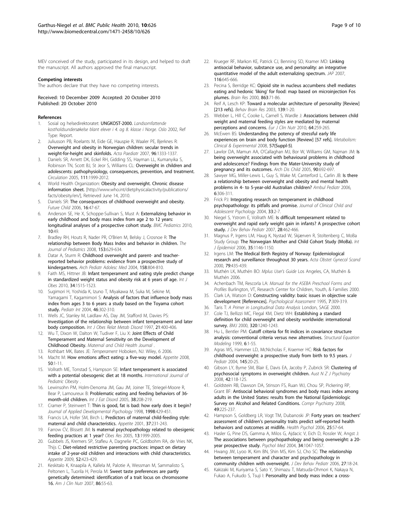<span id="page-8-0"></span>MEV conceived of the study, participated in its design, and helped to draft the manuscript. All authors approved the final manuscript.

#### Competing interests

The authors declare that they have no competing interests.

Received: 10 December 2009 Accepted: 20 October 2010 Published: 20 October 2010

#### References

- Sosial og helsedirektoratet: UNGKOST-2000. Landsomfattende kostholdsundersøkelse blant elever i 4. og 8. klasse i Norge. Oslo 2002, Ref Type: Report.
- 2. Juliusson PB, Roelants M, Eide GE, Hauspie R, Waaler PE, Bjerknes R: [Overweight and obesity in Norwegian children: secular trends in](http://www.ncbi.nlm.nih.gov/pubmed/17718787?dopt=Abstract) [weight-for-height and skinfolds.](http://www.ncbi.nlm.nih.gov/pubmed/17718787?dopt=Abstract) Acta Paediatr 2007, 96:1333-1337.
- Daniels SR, Arnett DK, Eckel RH, Gidding SS, Hayman LL, Kumanyika S, Robinson TN, Scott BJ, St Jeor S, Williams CL: [Overweight in children and](http://www.ncbi.nlm.nih.gov/pubmed/15837955?dopt=Abstract) [adolescents: pathophysiology, consequences, prevention, and treatment.](http://www.ncbi.nlm.nih.gov/pubmed/15837955?dopt=Abstract) Circulation 2005, 111:1999-2012.
- 4. World Health Organization: Obesity and overweight. Chronic disease information sheet. [\[http://www.who.int/dietphysicalactivity/publications/](http://www.who.int/dietphysicalactivity/publications/facts/obesity/en/) [facts/obesity/en/](http://www.who.int/dietphysicalactivity/publications/facts/obesity/en/)], Retrieved June 14, 2010.
- Daniels SR: [The consequences of childhood overweight and obesity.](http://www.ncbi.nlm.nih.gov/pubmed/16532658?dopt=Abstract) Future Child 2006, 16:47-67.
- 6. Anderson SE, He X, Schoppe-Sullivan S, Must A: [Externalizing behavior in](http://www.ncbi.nlm.nih.gov/pubmed/20630082?dopt=Abstract) [early childhood and body mass index from age 2 to 12 years:](http://www.ncbi.nlm.nih.gov/pubmed/20630082?dopt=Abstract) [longitudinal analyses of a prospective cohort study.](http://www.ncbi.nlm.nih.gov/pubmed/20630082?dopt=Abstract) BMC Pediatrics 2010, 10:49.
- 7. Bradley RH, Houts R, Nader PR, O'Brien M, Belsky J, Crosnoe R: [The](http://www.ncbi.nlm.nih.gov/pubmed/18639889?dopt=Abstract) [relationship between Body Mass Index and behavior in children.](http://www.ncbi.nlm.nih.gov/pubmed/18639889?dopt=Abstract) The Journal of Pediatrics 2008, 153:629-634.
- 8. Datar A, Sturm R: [Childhood overweight and parent- and teacher](http://www.ncbi.nlm.nih.gov/pubmed/15289255?dopt=Abstract)[reported behavior problems: evidence from a prospective study of](http://www.ncbi.nlm.nih.gov/pubmed/15289255?dopt=Abstract) [kindergartners.](http://www.ncbi.nlm.nih.gov/pubmed/15289255?dopt=Abstract) Arch Pediatr Adolesc Med 2004, 158:804-810.
- Faith MS, Hittner JB: Infant temperament and eating style predict change in standardized weight status and obesity risk at 6 years of age. Int J Obes 2010, 34:1515-1523.
- 10. Sugimori H, Yoshida K, Izuno T, Miyakawa M, Suka M, Sekine M, Yamagami T, Kagamimori S: [Analysis of factors that influence body mass](http://www.ncbi.nlm.nih.gov/pubmed/15151547?dopt=Abstract) [index from ages 3 to 6 years: a study based on the Toyama cohort](http://www.ncbi.nlm.nih.gov/pubmed/15151547?dopt=Abstract) [study.](http://www.ncbi.nlm.nih.gov/pubmed/15151547?dopt=Abstract) Pediatr Int 2004, 46:302-310.
- 11. Wells JC, Stanley M, Laidlaw AS, Day JM, Stafford M, Davies PS: [Investigation of the relationship between infant temperament and later](http://www.ncbi.nlm.nih.gov/pubmed/9152743?dopt=Abstract) [body composition.](http://www.ncbi.nlm.nih.gov/pubmed/9152743?dopt=Abstract) Int J Obes Relat Metab Disord 1997, 21:400-406.
- 12. Wu T, Dixon W, Dalton W, Tudiver F, Liu X: [Joint Effects of Child](http://www.ncbi.nlm.nih.gov/pubmed/20358395?dopt=Abstract) [Temperament and Maternal Sensitivity on the Development of](http://www.ncbi.nlm.nih.gov/pubmed/20358395?dopt=Abstract) [Childhood Obesity.](http://www.ncbi.nlm.nih.gov/pubmed/20358395?dopt=Abstract) Maternal and Child Health Journal .
- 13. Rothbart MK, Bates JE: Temperament Hoboken, NJ: Wiley, 6 2006. 14. Macht M: [How emotions affect eating: a five-way model.](http://www.ncbi.nlm.nih.gov/pubmed/17707947?dopt=Abstract) Appetite 2008,
- 50:1-11. 15. Vollrath ME, Tonstad S, Hampson SE: [Infant temperament is associated](http://www.ncbi.nlm.nih.gov/pubmed/20854098?dopt=Abstract) [with a potential obesogenic diet at 18 months.](http://www.ncbi.nlm.nih.gov/pubmed/20854098?dopt=Abstract) International Journal of Pediatric Obesity
- 16. Lewinsohn PM, Holm-Denoma JM, Gau JM, Joiner TE, Striegel-Moore R, Bear P, Lamoureux B: [Problematic eating and feeding behaviors of 36](http://www.ncbi.nlm.nih.gov/pubmed/16211627?dopt=Abstract) [month-old children.](http://www.ncbi.nlm.nih.gov/pubmed/16211627?dopt=Abstract) Int J Eat Disord 2005, 38:208-219.
- 17. Cramer P, Steinwert T: Thin is good, fat is bad: how early does it begin? Journal of Applied Developmental Psychology 1998, 1998:429-451.
- 18. Francis LA, Hofer SM, Birch L: [Predictors of maternal child-feeding style:](http://www.ncbi.nlm.nih.gov/pubmed/11895324?dopt=Abstract) [maternal and child characteristics.](http://www.ncbi.nlm.nih.gov/pubmed/11895324?dopt=Abstract) Appetite 2001, 37:231-243.
- 19. Farrow CV, Blissett JM: [Is maternal psychopathology related to obesigenic](http://www.ncbi.nlm.nih.gov/pubmed/16339132?dopt=Abstract) [feeding practices at 1 year?](http://www.ncbi.nlm.nih.gov/pubmed/16339132?dopt=Abstract) Obes Res 2005, 13:1999-2005.
- 20. Gubbels JS, Kremers SP, Stafleu A, Dagnelie PC, Goldbohm RA, de Vries NK, Thijs C: [Diet-related restrictive parenting practices: impact on dietary](http://www.ncbi.nlm.nih.gov/pubmed/19114065?dopt=Abstract) [intake of 2-year-old children and interactions with child characteristics.](http://www.ncbi.nlm.nih.gov/pubmed/19114065?dopt=Abstract) Appetite 2009, 52:423-429.
- 21. Keskitalo K, Knaapila A, Kallela M, Palotie A, Wessman M, Sammalisto S, Peltonen L, Tuorila H, Perola M: [Sweet taste preferences are partly](http://www.ncbi.nlm.nih.gov/pubmed/17616763?dopt=Abstract) [genetically determined: identification of a trait locus on chromosome](http://www.ncbi.nlm.nih.gov/pubmed/17616763?dopt=Abstract) [16.](http://www.ncbi.nlm.nih.gov/pubmed/17616763?dopt=Abstract) Am J Clin Nutr 2007, 86:55-63.
- 22. Krueger RF, Markon KE, Patrick CJ, Benning SD, Kramer MD: Linking antisocial behavior, substance use, and personality: an integrative quantitative model of the adult externalizing spectrum. JAP 2007, 116:645-666.
- 23. Pecina S, Berridge KC: [Opioid site in nucleus accumbens shell mediates](http://www.ncbi.nlm.nih.gov/pubmed/10773195?dopt=Abstract) eating and hedonic 'liking' [for food: map based on microinjection Fos](http://www.ncbi.nlm.nih.gov/pubmed/10773195?dopt=Abstract) [plumes.](http://www.ncbi.nlm.nih.gov/pubmed/10773195?dopt=Abstract) Brain Res 2000, 863:71-86.
- 24. Reif A, Lesch KP: [Toward a molecular architecture of personality \[Review\]](http://www.ncbi.nlm.nih.gov/pubmed/12642172?dopt=Abstract) [\[213 refs\].](http://www.ncbi.nlm.nih.gov/pubmed/12642172?dopt=Abstract) Behav Brain Res 2003, 139:1-20.
- 25. Webber L, Hill C, Cooke L, Carnell S, Wardle J: [Associations between child](http://www.ncbi.nlm.nih.gov/pubmed/20087383?dopt=Abstract) [weight and maternal feeding styles are mediated by maternal](http://www.ncbi.nlm.nih.gov/pubmed/20087383?dopt=Abstract) [perceptions and concerns.](http://www.ncbi.nlm.nih.gov/pubmed/20087383?dopt=Abstract) Eur J Clin Nutr 2010, 64:259-265.
- 26. McEwen BS: Understanding the potency of stressful early life experiences on brain and body function [Review] [57 refs]. Metabolism: Clinical & Experimental 2008, 57(Suppl-5).
- 27. Lawlor DA, Mamun AA, O'Callaghan MJ, Bor W, Williams GM, Najman JM: [Is](http://www.ncbi.nlm.nih.gov/pubmed/15855179?dopt=Abstract) [being overweight associated with behavioural problems in childhood](http://www.ncbi.nlm.nih.gov/pubmed/15855179?dopt=Abstract) [and adolescence? Findings from the Mater-University study of](http://www.ncbi.nlm.nih.gov/pubmed/15855179?dopt=Abstract) [pregnancy and its outcomes.](http://www.ncbi.nlm.nih.gov/pubmed/15855179?dopt=Abstract) Arch Dis Child 2005, 90:692-697.
- 28. Sawyer MG, Miller-Lewis L, Guy S, Wake M, Canterford L, Carlin JB: [Is there](http://www.ncbi.nlm.nih.gov/pubmed/17116602?dopt=Abstract) [a relationship between overweight and obesity and mental health](http://www.ncbi.nlm.nih.gov/pubmed/17116602?dopt=Abstract) [problems in 4- to 5-year-old Australian children?](http://www.ncbi.nlm.nih.gov/pubmed/17116602?dopt=Abstract) Ambul Pediatr 2006, 6:306-311.
- 29. Frick PJ: [Integrating research on temperament in childhood](http://www.ncbi.nlm.nih.gov/pubmed/15028536?dopt=Abstract) [psychopathology: its pitfalls and promise.](http://www.ncbi.nlm.nih.gov/pubmed/15028536?dopt=Abstract) Journal of Clinical Child and Adolescent Psychology 2004, 33:2-7.
- 30. Niegel S, Ystrom E, Vollrath ME: [Is difficult temperament related to](http://www.ncbi.nlm.nih.gov/pubmed/18091091?dopt=Abstract) [overweight and rapid early weight gain in infants? A prospective cohort](http://www.ncbi.nlm.nih.gov/pubmed/18091091?dopt=Abstract) [study.](http://www.ncbi.nlm.nih.gov/pubmed/18091091?dopt=Abstract) J Dev Behav Pediatr 2007, 28:462-466.
- 31. Magnus P, Irgens LM, Haug K, Nystad W, Skjærven R, Stoltenberg C, MoBa Study Group: [The Norwegian Mother and Child Cohort Study \(MoBa\).](http://www.ncbi.nlm.nih.gov/pubmed/16926217?dopt=Abstract) Int J Epidemiol 2006, 35:1146-1150.
- 32. Irgens LM: [The Medical Birth Registry of Norway: Epidemiological](http://www.ncbi.nlm.nih.gov/pubmed/10857866?dopt=Abstract) [research and surveillance throughout 30 years.](http://www.ncbi.nlm.nih.gov/pubmed/10857866?dopt=Abstract) Acta Obstet Gynecol Scand 2000, 79:435-439.
- 33. Muthén LK, Muthén BO: Mplus User's Guide Los Angeles, CA, Muthén & Muthén 2006.
- 34. Achenbach TM, Rescorla LA: Manual for the ASEBA Preschool Forms and Profiles Burlington, VT, Research Center for Children, Youth, & Families 2000.
- 35. Clark LA, Watson D: Constructing validity: basic issues in objective scale development [References]. Psychological Assessment 1995, 7:309-319.
- 36. Taris T: A Primer in Longitudinal Data Analysis London, SAGE 2000.
- 37. Cole TJ, Bellizzi MC, Flegal KM, Dietz WH: [Establishing a standard](http://www.ncbi.nlm.nih.gov/pubmed/10797032?dopt=Abstract) [definition for child overweight and obesity worldwide: international](http://www.ncbi.nlm.nih.gov/pubmed/10797032?dopt=Abstract) [survey.](http://www.ncbi.nlm.nih.gov/pubmed/10797032?dopt=Abstract) BMJ 2000, 320:1240-1243.
- 38. Hu L, Bentler PM: Cutoff criteria for fit indices in covariance structure analysis: conventional criteria versus new alternatives. Structural Equation Modeling 1999, 6:1-55.
- 39. Agras WS, Hammer LD, McNicholas F, Kraemer HC: [Risk factors for](http://www.ncbi.nlm.nih.gov/pubmed/15238901?dopt=Abstract) [childhood overweight: a prospective study from birth to 9.5 years.](http://www.ncbi.nlm.nih.gov/pubmed/15238901?dopt=Abstract) J Pediatr 2004, 145:20-25.
- 40. Gibson LY, Byrne SM, Blair E, Davis EA, Jacoby P, Zubrick SR: [Clustering of](http://www.ncbi.nlm.nih.gov/pubmed/18197506?dopt=Abstract) [psychosocial symptoms in overweight children.](http://www.ncbi.nlm.nih.gov/pubmed/18197506?dopt=Abstract) Aust N Z J Psychiatry 2008, 42:118-125.
- 41. Goldstein RB, Dawson DA, Stinson FS, Ruan WJ, Chou SP, Pickering RP, Grant BF: [Antisocial behavioral syndromes and body mass index among](http://www.ncbi.nlm.nih.gov/pubmed/18396181?dopt=Abstract) [adults in the United States: results from the National Epidemiologic](http://www.ncbi.nlm.nih.gov/pubmed/18396181?dopt=Abstract) [Survey on Alcohol and Related Conditions.](http://www.ncbi.nlm.nih.gov/pubmed/18396181?dopt=Abstract) Compr Psychiatry 2008, 49:225-237.
- 42. Hampson S, Goldberg LR, Vogt TM, Dubanoski JP: [Forty years on: teachers](http://www.ncbi.nlm.nih.gov/pubmed/16448298?dopt=Abstract)' assessment of children'[s personality traits predict self-reported health](http://www.ncbi.nlm.nih.gov/pubmed/16448298?dopt=Abstract) [behaviors and outcomes at midlife.](http://www.ncbi.nlm.nih.gov/pubmed/16448298?dopt=Abstract) Health Psychol 2006, 25:57-64.
- 43. Hasler G, Pine DS, Gamma A, Milos G, Ajdacic V, Eich D, Rossler W, Angst J: [The associations between psychopathology and being overweight: a 20](http://www.ncbi.nlm.nih.gov/pubmed/15554575?dopt=Abstract) [year prospective study.](http://www.ncbi.nlm.nih.gov/pubmed/15554575?dopt=Abstract) Psychol Med 2004, 34:1047-1057.
- 44. Hwang JW, Lyoo IK, Kim BN, Shin MS, Kim SJ, Cho SC: [The relationship](http://www.ncbi.nlm.nih.gov/pubmed/16511364?dopt=Abstract) [between temperament and character and psychopathology in](http://www.ncbi.nlm.nih.gov/pubmed/16511364?dopt=Abstract) [community children with overweight.](http://www.ncbi.nlm.nih.gov/pubmed/16511364?dopt=Abstract) J Dev Behav Pediatr 2006, 27:18-24.
- 45. Kakizaki M, Kuriyama S, Sato Y, Shimazu T, Matsuda-Ohmori K, Nakaya N, Fukao A, Fukudo S, Tsuji I: [Personality and body mass index: a cross-](http://www.ncbi.nlm.nih.gov/pubmed/18158002?dopt=Abstract)